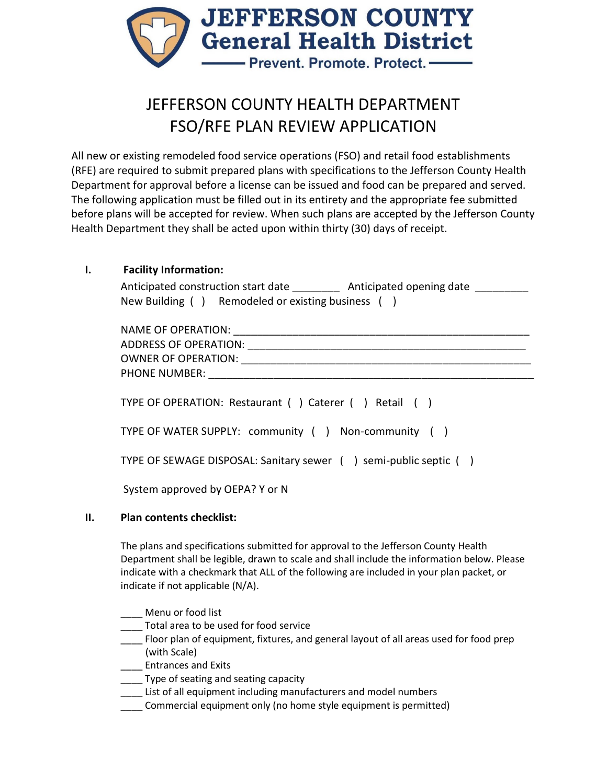

# JEFFERSON COUNTY HEALTH DEPARTMENT FSO/RFE PLAN REVIEW APPLICATION

All new or existing remodeled food service operations (FSO) and retail food establishments (RFE) are required to submit prepared plans with specifications to the Jefferson County Health Department for approval before a license can be issued and food can be prepared and served. The following application must be filled out in its entirety and the appropriate fee submitted before plans will be accepted for review. When such plans are accepted by the Jefferson County Health Department they shall be acted upon within thirty (30) days of receipt.

## **I. Facility Information:**

| Anticipated construction start date |                                   | Anticipated opening date |  |
|-------------------------------------|-----------------------------------|--------------------------|--|
| New Building (                      | Remodeled or existing business () |                          |  |

| NAME OF OPERATION: ________________                              |
|------------------------------------------------------------------|
| TYPE OF OPERATION: Restaurant () Caterer () Retail ()            |
| TYPE OF WATER SUPPLY: community () Non-community ()              |
| TYPE OF SEWAGE DISPOSAL: Sanitary sewer () semi-public septic () |
| System approved by OEPA? Y or N                                  |

### **II. Plan contents checklist:**

The plans and specifications submitted for approval to the Jefferson County Health Department shall be legible, drawn to scale and shall include the information below. Please indicate with a checkmark that ALL of the following are included in your plan packet, or indicate if not applicable (N/A).

Menu or food list

- Total area to be used for food service
- Floor plan of equipment, fixtures, and general layout of all areas used for food prep (with Scale)
	- \_\_\_\_ Entrances and Exits
- \_\_\_\_ Type of seating and seating capacity
- List of all equipment including manufacturers and model numbers
- \_\_\_\_ Commercial equipment only (no home style equipment is permitted)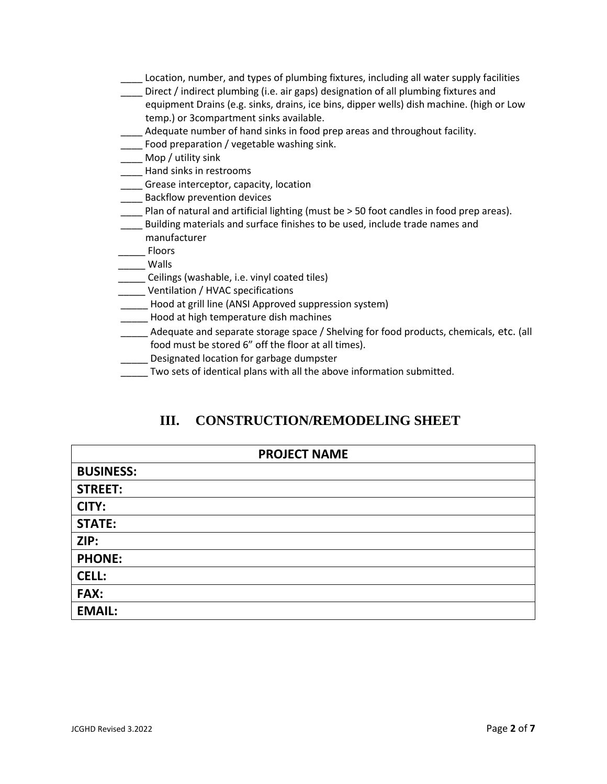- \_\_\_\_ Location, number, and types of plumbing fixtures, including all water supply facilities
- \_\_\_\_ Direct / indirect plumbing (i.e. air gaps) designation of all plumbing fixtures and equipment Drains (e.g. sinks, drains, ice bins, dipper wells) dish machine. (high or Low temp.) or 3compartment sinks available.
- Adequate number of hand sinks in food prep areas and throughout facility.
- **\_\_\_\_** Food preparation / vegetable washing sink.
- \_\_\_\_ Mop / utility sink
- \_\_\_\_ Hand sinks in restrooms
- \_\_\_\_ Grease interceptor, capacity, location
- \_\_\_\_ Backflow prevention devices
- \_\_\_\_ Plan of natural and artificial lighting (must be > 50 foot candles in food prep areas).
- **\_\_\_\_** Building materials and surface finishes to be used, include trade names and
- manufacturer
- \_\_\_\_\_ Floors \_\_\_\_\_ Walls
- \_\_\_\_\_ Ceilings (washable, i.e. vinyl coated tiles)
- \_\_\_\_\_ Ventilation / HVAC specifications
- \_\_\_\_\_ Hood at grill line (ANSI Approved suppression system)
- \_\_\_\_\_ Hood at high temperature dish machines
- Adequate and separate storage space / Shelving for food products, chemicals, etc. (all food must be stored 6" off the floor at all times).
- **\_\_\_\_\_** Designated location for garbage dumpster
- Two sets of identical plans with all the above information submitted.

# **III. CONSTRUCTION/REMODELING SHEET**

| <b>PROJECT NAME</b> |  |  |
|---------------------|--|--|
| <b>BUSINESS:</b>    |  |  |
| <b>STREET:</b>      |  |  |
| CITY:               |  |  |
| <b>STATE:</b>       |  |  |
| ZIP:                |  |  |
| <b>PHONE:</b>       |  |  |
| <b>CELL:</b>        |  |  |
| <b>FAX:</b>         |  |  |
| <b>EMAIL:</b>       |  |  |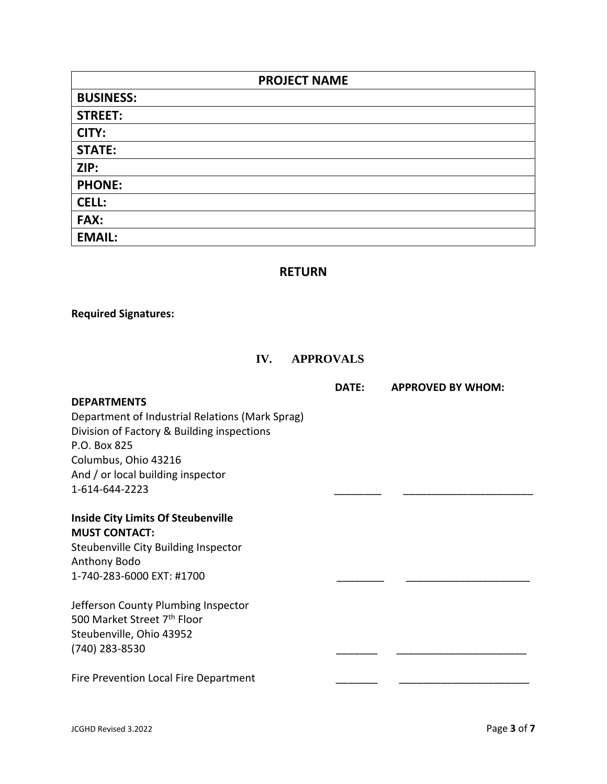| <b>PROJECT NAME</b> |
|---------------------|
| <b>BUSINESS:</b>    |
| <b>STREET:</b>      |
| CITY:               |
| <b>STATE:</b>       |
| ZIP:                |
| <b>PHONE:</b>       |
| <b>CELL:</b>        |
| FAX:                |
| <b>EMAIL:</b>       |

#### **RETURN**

#### **Required Signatures:**

## **IV. APPROVALS**

#### **DEPARTMENTS**

 **DATE: APPROVED BY WHOM:**

Department of Industrial Relations (Mark Sprag) Division of Factory & Building inspections P.O. Box 825 Columbus, Ohio 43216 And / or local building inspector 1-614-644-2223 \_\_\_\_\_\_\_\_ \_\_\_\_\_\_\_\_\_\_\_\_\_\_\_\_\_\_\_\_\_\_

## **Inside City Limits Of Steubenville MUST CONTACT:**

Steubenville City Building Inspector Anthony Bodo 1-740-283-6000 EXT: #1700

Jefferson County Plumbing Inspector 500 Market Street 7<sup>th</sup> Floor Steubenville, Ohio 43952 (740) 283-8530 \_\_\_\_\_\_\_ \_\_\_\_\_\_\_\_\_\_\_\_\_\_\_\_\_\_\_\_\_\_

Fire Prevention Local Fire Department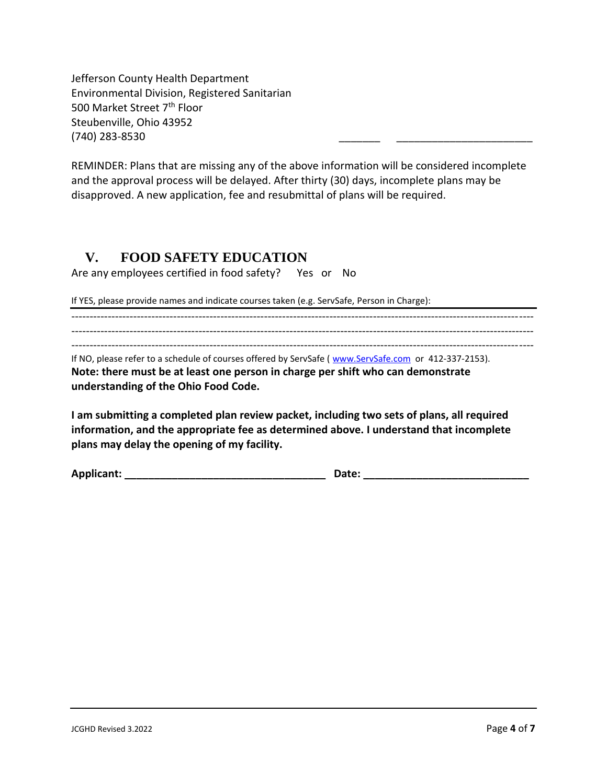Jefferson County Health Department Environmental Division, Registered Sanitarian 500 Market Street 7th Floor Steubenville, Ohio 43952 (740) 283-8530 \_\_\_\_\_\_\_ \_\_\_\_\_\_\_\_\_\_\_\_\_\_\_\_\_\_\_\_\_\_\_

REMINDER: Plans that are missing any of the above information will be considered incomplete and the approval process will be delayed. After thirty (30) days, incomplete plans may be disapproved. A new application, fee and resubmittal of plans will be required.

# **V. FOOD SAFETY EDUCATION**

Are any employees certified in food safety? Yes or No

If YES, please provide names and indicate courses taken (e.g. ServSafe, Person in Charge):

------------------------------------------------------------------------------------------------------------------------------- ------------------------------------------------------------------------------------------------------------------------------- ------------------------------------------------------------------------------------------------------------------------------ If NO, please refer to a schedule of courses offered by ServSafe ( [www.ServSafe.com](http://www.servsafe.com/) or 412-337-2153). **Note: there must be at least one person in charge per shift who can demonstrate understanding of the Ohio Food Code.**

**I am submitting a completed plan review packet, including two sets of plans, all required information, and the appropriate fee as determined above. I understand that incomplete plans may delay the opening of my facility.**

**Applicant: \_\_\_\_\_\_\_\_\_\_\_\_\_\_\_\_\_\_\_\_\_\_\_\_\_\_\_\_\_\_\_\_\_\_ Date: \_\_\_\_\_\_\_\_\_\_\_\_\_\_\_\_\_\_\_\_\_\_\_\_\_\_\_\_**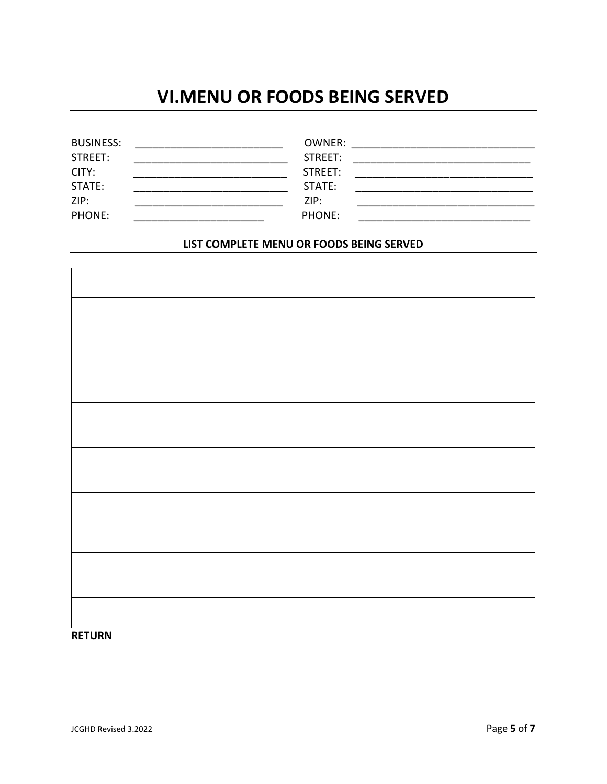# **VI.MENU OR FOODS BEING SERVED**

| <b>BUSINESS:</b> | OWNER:  |
|------------------|---------|
| STREET:          | STREET: |
| CITY:            | STREET: |
| STATE:           | STATE:  |
| ZIP:             | ZIP:    |
| <b>PHONE:</b>    | PHONE:  |

#### **LIST COMPLETE MENU OR FOODS BEING SERVED**

#### **RETURN**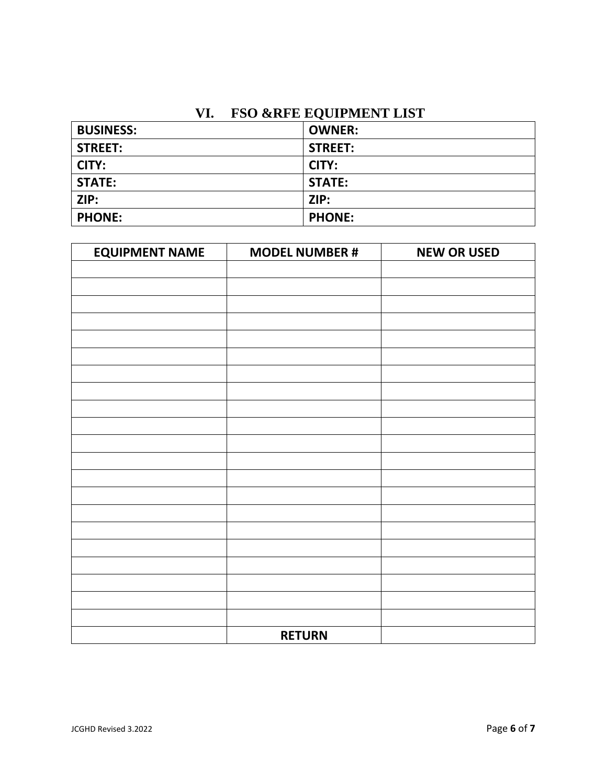# **VI. FSO &RFE EQUIPMENT LIST**

| <b>BUSINESS:</b> | <b>OWNER:</b>  |
|------------------|----------------|
| <b>STREET:</b>   | <b>STREET:</b> |
| CITY:            | CITY:          |
| <b>STATE:</b>    | <b>STATE:</b>  |
| ZIP:             | ZIP:           |
| <b>PHONE:</b>    | <b>PHONE:</b>  |

| <b>EQUIPMENT NAME</b> | <b>MODEL NUMBER #</b> | <b>NEW OR USED</b> |
|-----------------------|-----------------------|--------------------|
|                       |                       |                    |
|                       |                       |                    |
|                       |                       |                    |
|                       |                       |                    |
|                       |                       |                    |
|                       |                       |                    |
|                       |                       |                    |
|                       |                       |                    |
|                       |                       |                    |
|                       |                       |                    |
|                       |                       |                    |
|                       |                       |                    |
|                       |                       |                    |
|                       |                       |                    |
|                       |                       |                    |
|                       |                       |                    |
|                       |                       |                    |
|                       |                       |                    |
|                       |                       |                    |
|                       |                       |                    |
|                       |                       |                    |
|                       | <b>RETURN</b>         |                    |